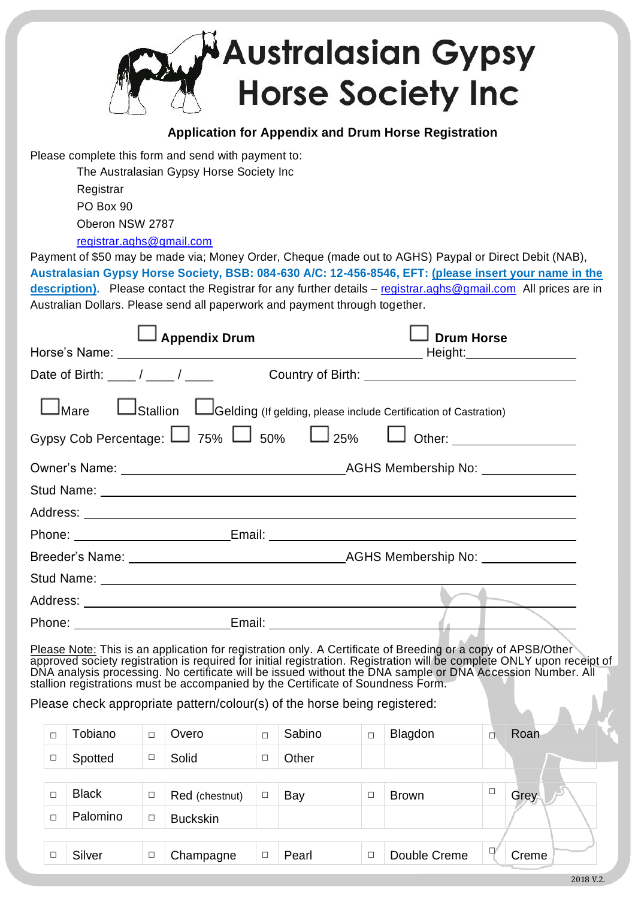

## **Application for Appendix and Drum Horse Registration**

Please complete this form and send with payment to:

The Australasian Gypsy Horse Society Inc Registrar PO Box 90 Oberon NSW 2787

[registrar.aghs@gmail.com](mailto:registrar.aghs@gmail.com)

Payment of \$50 may be made via; Money Order, Cheque (made out to AGHS) Paypal or Direct Debit (NAB), **Australasian Gypsy Horse Society, BSB: 084-630 A/C: 12-456-8546, EFT: (please insert your name in the description).** Please contact the Registrar for any further details – [registrar.aghs@gmail.com](mailto:registrar.aghs@gmail.com) All prices are in Australian Dollars. Please send all paperwork and payment through together.

| $\Box$ Appendix Drum                                                                 |                                | <b>Drum Horse</b>                                                                                                                                                                                                                  |
|--------------------------------------------------------------------------------------|--------------------------------|------------------------------------------------------------------------------------------------------------------------------------------------------------------------------------------------------------------------------------|
|                                                                                      |                                |                                                                                                                                                                                                                                    |
|                                                                                      |                                | Date of Birth: ____/ ____/ ____ Country of Birth: ______________________________                                                                                                                                                   |
| Mare <b>Lation</b> LGelding (If gelding, please include Certification of Castration) |                                |                                                                                                                                                                                                                                    |
|                                                                                      |                                | Gypsy Cob Percentage: $\Box$ 75% $\Box$ 50% $\Box$ 25% $\Box$ Other: ____________________                                                                                                                                          |
|                                                                                      |                                | Owner's Name: <u>Name:</u> Name: AGHS Membership No: Name: Name: Name: Name: Name: Name: Name: Name: Name: Name: Name: Name: Name: Name: Name: Name: Name: Name: Name: Name: Name: Name: Name: Name: Name: Name: Name: Name: Name: |
|                                                                                      |                                |                                                                                                                                                                                                                                    |
|                                                                                      |                                |                                                                                                                                                                                                                                    |
|                                                                                      |                                |                                                                                                                                                                                                                                    |
|                                                                                      |                                |                                                                                                                                                                                                                                    |
|                                                                                      |                                |                                                                                                                                                                                                                                    |
|                                                                                      |                                |                                                                                                                                                                                                                                    |
|                                                                                      | Email: _______________________ |                                                                                                                                                                                                                                    |

Please Note: This is an application for registration only. A Certificate of Breeding or a copy of APSB/Other approved society registration is required for initial registration. Registration will be complete ONLY upon receipt of DNA analysis processing. No certificate will be issued without the DNA sample or DNA Accession Number. All stallion registrations must be accompanied by the Certificate of Soundness Form.

Please check appropriate pattern/colour(s) of the horse being registered:

| Ċ | Tobiano      | $\Box$ | Overo           | $\Box$ | Sabino | $\Box$ | Blagdon      | ◻      | Roan    |
|---|--------------|--------|-----------------|--------|--------|--------|--------------|--------|---------|
| С | Spotted      | $\Box$ | Solid           | □      | Other  |        |              |        |         |
|   |              |        |                 |        |        |        |              |        |         |
|   | <b>Black</b> | $\Box$ | Red (chestnut)  | □      | Bay    | $\Box$ | <b>Brown</b> | $\Box$ | Grey    |
| П | Palomino     | $\Box$ | <b>Buckskin</b> |        |        |        |              |        |         |
|   |              |        |                 |        |        |        |              |        |         |
|   | Silver       | $\Box$ | Champagne       | $\Box$ | Pearl  | $\Box$ | Double Creme | $\Box$ | Creme   |
|   |              |        |                 |        |        |        |              |        | ------- |